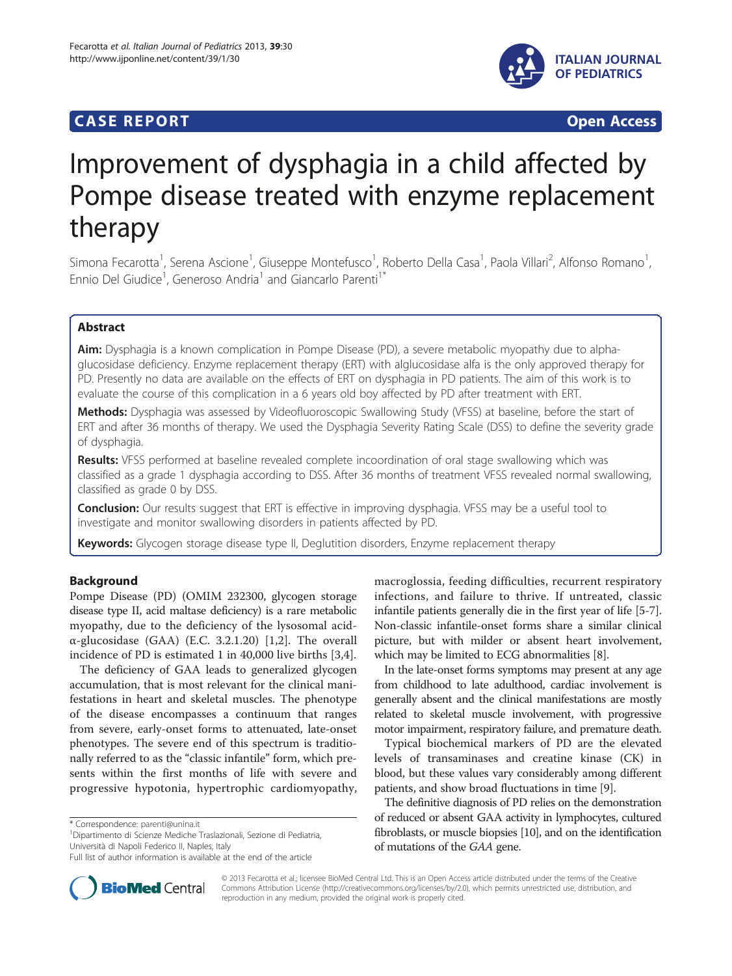# **CASE REPORT CASE REPORT CASE REPORT**



# Improvement of dysphagia in a child affected by Pompe disease treated with enzyme replacement therapy

Simona Fecarotta<sup>1</sup>, Serena Ascione<sup>1</sup>, Giuseppe Montefusco<sup>1</sup>, Roberto Della Casa<sup>1</sup>, Paola Villari<sup>2</sup>, Alfonso Romano<sup>1</sup> , Ennio Del Giudice<sup>1</sup>, Generoso Andria<sup>1</sup> and Giancarlo Parenti<sup>1\*</sup>

# Abstract

Aim: Dysphagia is a known complication in Pompe Disease (PD), a severe metabolic myopathy due to alphaglucosidase deficiency. Enzyme replacement therapy (ERT) with alglucosidase alfa is the only approved therapy for PD. Presently no data are available on the effects of ERT on dysphagia in PD patients. The aim of this work is to evaluate the course of this complication in a 6 years old boy affected by PD after treatment with ERT.

Methods: Dysphagia was assessed by Videofluoroscopic Swallowing Study (VFSS) at baseline, before the start of ERT and after 36 months of therapy. We used the Dysphagia Severity Rating Scale (DSS) to define the severity grade of dysphagia.

Results: VFSS performed at baseline revealed complete incoordination of oral stage swallowing which was classified as a grade 1 dysphagia according to DSS. After 36 months of treatment VFSS revealed normal swallowing, classified as grade 0 by DSS.

**Conclusion:** Our results suggest that ERT is effective in improving dysphagia. VFSS may be a useful tool to investigate and monitor swallowing disorders in patients affected by PD.

Keywords: Glycogen storage disease type II, Deglutition disorders, Enzyme replacement therapy

# Background

Pompe Disease (PD) (OMIM 232300, glycogen storage disease type II, acid maltase deficiency) is a rare metabolic myopathy, due to the deficiency of the lysosomal acid- $\alpha$ -glucosidase (GAA) (E.C. 3.2.1.20) [[1,2](#page-3-0)]. The overall incidence of PD is estimated 1 in 40,000 live births [[3,4\]](#page-3-0).

The deficiency of GAA leads to generalized glycogen accumulation, that is most relevant for the clinical manifestations in heart and skeletal muscles. The phenotype of the disease encompasses a continuum that ranges from severe, early-onset forms to attenuated, late-onset phenotypes. The severe end of this spectrum is traditionally referred to as the "classic infantile" form, which presents within the first months of life with severe and progressive hypotonia, hypertrophic cardiomyopathy,

Dipartimento di Scienze Mediche Traslazionali, Sezione di Pediatria, Università di Napoli Federico II, Naples, Italy



In the late-onset forms symptoms may present at any age from childhood to late adulthood, cardiac involvement is generally absent and the clinical manifestations are mostly related to skeletal muscle involvement, with progressive motor impairment, respiratory failure, and premature death.

Typical biochemical markers of PD are the elevated levels of transaminases and creatine kinase (CK) in blood, but these values vary considerably among different patients, and show broad fluctuations in time [\[9](#page-3-0)].

The definitive diagnosis of PD relies on the demonstration of reduced or absent GAA activity in lymphocytes, cultured fibroblasts, or muscle biopsies [\[10\]](#page-3-0), and on the identification of mutations of the GAA gene.



© 2013 Fecarotta et al.; licensee BioMed Central Ltd. This is an Open Access article distributed under the terms of the Creative Commons Attribution License [\(http://creativecommons.org/licenses/by/2.0\)](http://creativecommons.org/licenses/by/2.0), which permits unrestricted use, distribution, and reproduction in any medium, provided the original work is properly cited.

<sup>\*</sup> Correspondence: [parenti@unina.it](mailto:parenti@unina.it) <sup>1</sup>

Full list of author information is available at the end of the article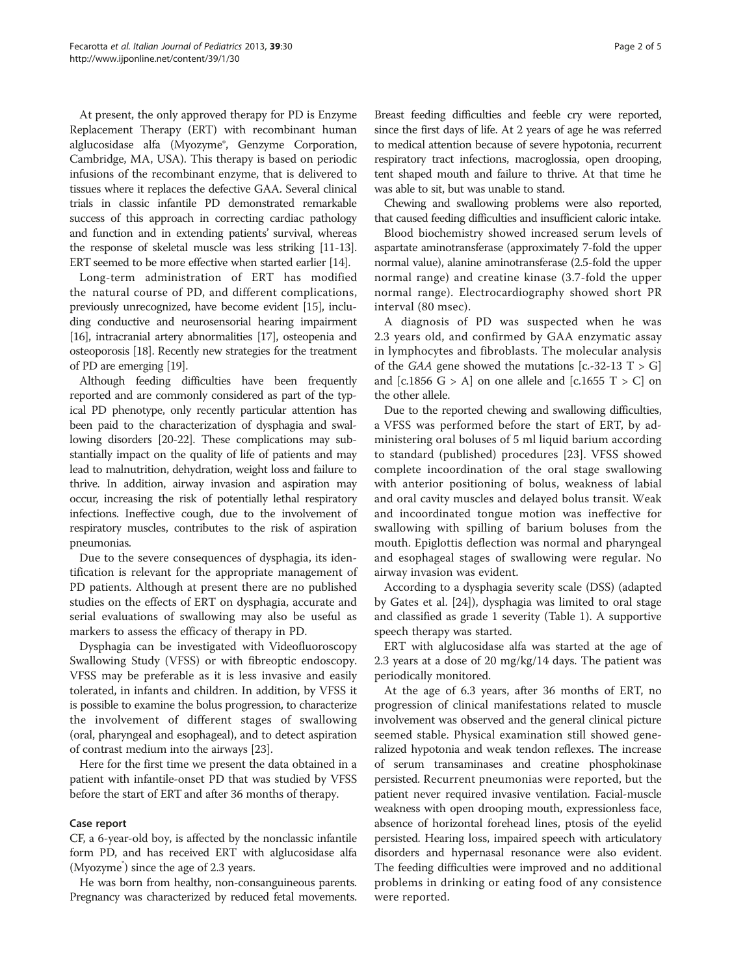At present, the only approved therapy for PD is Enzyme Replacement Therapy (ERT) with recombinant human alglucosidase alfa (Myozyme®, Genzyme Corporation, Cambridge, MA, USA). This therapy is based on periodic infusions of the recombinant enzyme, that is delivered to tissues where it replaces the defective GAA. Several clinical trials in classic infantile PD demonstrated remarkable success of this approach in correcting cardiac pathology and function and in extending patients' survival, whereas the response of skeletal muscle was less striking [\[11-13](#page-3-0)]. ERT seemed to be more effective when started earlier [\[14](#page-3-0)].

Long-term administration of ERT has modified the natural course of PD, and different complications, previously unrecognized, have become evident [[15\]](#page-3-0), including conductive and neurosensorial hearing impairment [[16](#page-3-0)], intracranial artery abnormalities [\[17\]](#page-3-0), osteopenia and osteoporosis [\[18\]](#page-3-0). Recently new strategies for the treatment of PD are emerging [[19\]](#page-3-0).

Although feeding difficulties have been frequently reported and are commonly considered as part of the typical PD phenotype, only recently particular attention has been paid to the characterization of dysphagia and swallowing disorders [[20-22\]](#page-4-0). These complications may substantially impact on the quality of life of patients and may lead to malnutrition, dehydration, weight loss and failure to thrive. In addition, airway invasion and aspiration may occur, increasing the risk of potentially lethal respiratory infections. Ineffective cough, due to the involvement of respiratory muscles, contributes to the risk of aspiration pneumonias.

Due to the severe consequences of dysphagia, its identification is relevant for the appropriate management of PD patients. Although at present there are no published studies on the effects of ERT on dysphagia, accurate and serial evaluations of swallowing may also be useful as markers to assess the efficacy of therapy in PD.

Dysphagia can be investigated with Videofluoroscopy Swallowing Study (VFSS) or with fibreoptic endoscopy. VFSS may be preferable as it is less invasive and easily tolerated, in infants and children. In addition, by VFSS it is possible to examine the bolus progression, to characterize the involvement of different stages of swallowing (oral, pharyngeal and esophageal), and to detect aspiration of contrast medium into the airways [\[23\]](#page-4-0).

Here for the first time we present the data obtained in a patient with infantile-onset PD that was studied by VFSS before the start of ERT and after 36 months of therapy.

# Case report

CF, a 6-year-old boy, is affected by the nonclassic infantile form PD, and has received ERT with alglucosidase alfa (Myozyme<sup>®</sup>) since the age of 2.3 years.

He was born from healthy, non-consanguineous parents. Pregnancy was characterized by reduced fetal movements. Breast feeding difficulties and feeble cry were reported, since the first days of life. At 2 years of age he was referred to medical attention because of severe hypotonia, recurrent respiratory tract infections, macroglossia, open drooping, tent shaped mouth and failure to thrive. At that time he was able to sit, but was unable to stand.

Chewing and swallowing problems were also reported, that caused feeding difficulties and insufficient caloric intake.

Blood biochemistry showed increased serum levels of aspartate aminotransferase (approximately 7-fold the upper normal value), alanine aminotransferase (2.5-fold the upper normal range) and creatine kinase (3.7-fold the upper normal range). Electrocardiography showed short PR interval (80 msec).

A diagnosis of PD was suspected when he was 2.3 years old, and confirmed by GAA enzymatic assay in lymphocytes and fibroblasts. The molecular analysis of the GAA gene showed the mutations [c.-32-13 T > G] and [c.1856 G > A] on one allele and [c.1655 T > C] on the other allele.

Due to the reported chewing and swallowing difficulties, a VFSS was performed before the start of ERT, by administering oral boluses of 5 ml liquid barium according to standard (published) procedures [[23\]](#page-4-0). VFSS showed complete incoordination of the oral stage swallowing with anterior positioning of bolus, weakness of labial and oral cavity muscles and delayed bolus transit. Weak and incoordinated tongue motion was ineffective for swallowing with spilling of barium boluses from the mouth. Epiglottis deflection was normal and pharyngeal and esophageal stages of swallowing were regular. No airway invasion was evident.

According to a dysphagia severity scale (DSS) (adapted by Gates et al. [\[24\]](#page-4-0)), dysphagia was limited to oral stage and classified as grade 1 severity (Table [1\)](#page-2-0). A supportive speech therapy was started.

ERT with alglucosidase alfa was started at the age of 2.3 years at a dose of 20 mg/kg/14 days. The patient was periodically monitored.

At the age of 6.3 years, after 36 months of ERT, no progression of clinical manifestations related to muscle involvement was observed and the general clinical picture seemed stable. Physical examination still showed generalized hypotonia and weak tendon reflexes. The increase of serum transaminases and creatine phosphokinase persisted. Recurrent pneumonias were reported, but the patient never required invasive ventilation. Facial-muscle weakness with open drooping mouth, expressionless face, absence of horizontal forehead lines, ptosis of the eyelid persisted. Hearing loss, impaired speech with articulatory disorders and hypernasal resonance were also evident. The feeding difficulties were improved and no additional problems in drinking or eating food of any consistence were reported.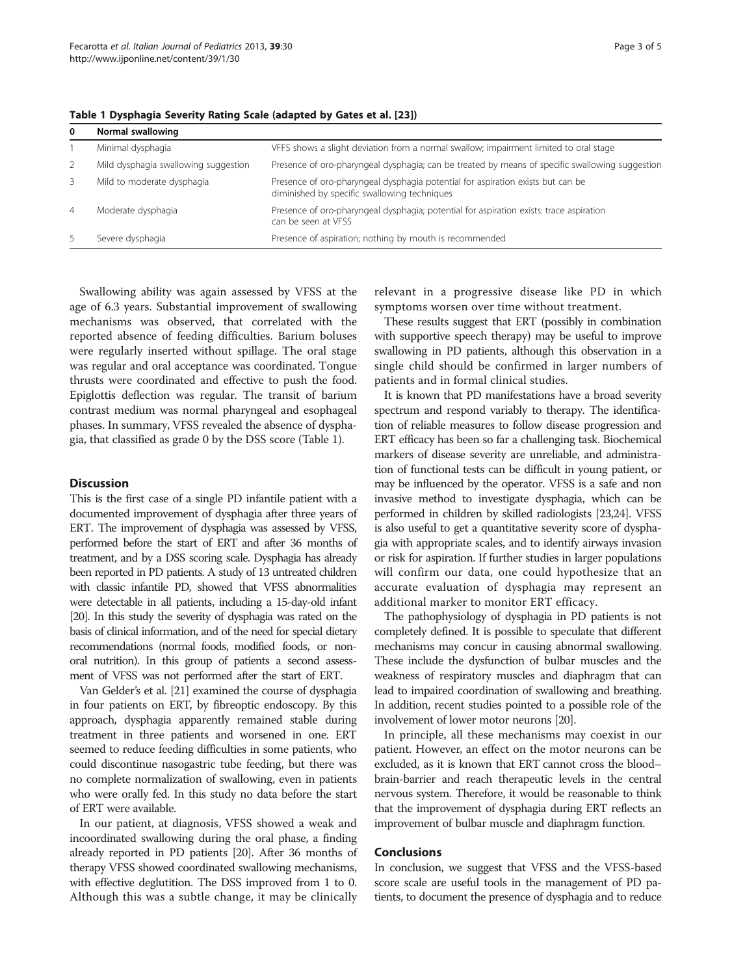| 0              | Normal swallowing                    |                                                                                                                                 |
|----------------|--------------------------------------|---------------------------------------------------------------------------------------------------------------------------------|
|                | Minimal dysphagia                    | VFFS shows a slight deviation from a normal swallow; impairment limited to oral stage                                           |
|                | Mild dysphagia swallowing suggestion | Presence of oro-pharyngeal dysphagia; can be treated by means of specific swallowing suggestion                                 |
|                | Mild to moderate dysphagia           | Presence of oro-pharyngeal dysphagia potential for aspiration exists but can be<br>diminished by specific swallowing techniques |
| $\overline{4}$ | Moderate dysphagia                   | Presence of oro-pharyngeal dysphagia; potential for aspiration exists: trace aspiration<br>can be seen at VESS                  |
|                | Severe dysphagia                     | Presence of aspiration; nothing by mouth is recommended                                                                         |

<span id="page-2-0"></span>Table 1 Dysphagia Severity Rating Scale (adapted by Gates et al. [[23\]](#page-4-0))

Swallowing ability was again assessed by VFSS at the age of 6.3 years. Substantial improvement of swallowing mechanisms was observed, that correlated with the reported absence of feeding difficulties. Barium boluses were regularly inserted without spillage. The oral stage was regular and oral acceptance was coordinated. Tongue thrusts were coordinated and effective to push the food. Epiglottis deflection was regular. The transit of barium contrast medium was normal pharyngeal and esophageal phases. In summary, VFSS revealed the absence of dysphagia, that classified as grade 0 by the DSS score (Table 1).

### **Discussion**

This is the first case of a single PD infantile patient with a documented improvement of dysphagia after three years of ERT. The improvement of dysphagia was assessed by VFSS, performed before the start of ERT and after 36 months of treatment, and by a DSS scoring scale. Dysphagia has already been reported in PD patients. A study of 13 untreated children with classic infantile PD, showed that VFSS abnormalities were detectable in all patients, including a 15-day-old infant [\[20](#page-4-0)]. In this study the severity of dysphagia was rated on the basis of clinical information, and of the need for special dietary recommendations (normal foods, modified foods, or nonoral nutrition). In this group of patients a second assessment of VFSS was not performed after the start of ERT.

Van Gelder's et al. [[21](#page-4-0)] examined the course of dysphagia in four patients on ERT, by fibreoptic endoscopy. By this approach, dysphagia apparently remained stable during treatment in three patients and worsened in one. ERT seemed to reduce feeding difficulties in some patients, who could discontinue nasogastric tube feeding, but there was no complete normalization of swallowing, even in patients who were orally fed. In this study no data before the start of ERT were available.

In our patient, at diagnosis, VFSS showed a weak and incoordinated swallowing during the oral phase, a finding already reported in PD patients [\[20\]](#page-4-0). After 36 months of therapy VFSS showed coordinated swallowing mechanisms, with effective deglutition. The DSS improved from 1 to 0. Although this was a subtle change, it may be clinically

relevant in a progressive disease like PD in which symptoms worsen over time without treatment.

These results suggest that ERT (possibly in combination with supportive speech therapy) may be useful to improve swallowing in PD patients, although this observation in a single child should be confirmed in larger numbers of patients and in formal clinical studies.

It is known that PD manifestations have a broad severity spectrum and respond variably to therapy. The identification of reliable measures to follow disease progression and ERT efficacy has been so far a challenging task. Biochemical markers of disease severity are unreliable, and administration of functional tests can be difficult in young patient, or may be influenced by the operator. VFSS is a safe and non invasive method to investigate dysphagia, which can be performed in children by skilled radiologists [\[23,24\]](#page-4-0). VFSS is also useful to get a quantitative severity score of dysphagia with appropriate scales, and to identify airways invasion or risk for aspiration. If further studies in larger populations will confirm our data, one could hypothesize that an accurate evaluation of dysphagia may represent an additional marker to monitor ERT efficacy.

The pathophysiology of dysphagia in PD patients is not completely defined. It is possible to speculate that different mechanisms may concur in causing abnormal swallowing. These include the dysfunction of bulbar muscles and the weakness of respiratory muscles and diaphragm that can lead to impaired coordination of swallowing and breathing. In addition, recent studies pointed to a possible role of the involvement of lower motor neurons [\[20\]](#page-4-0).

In principle, all these mechanisms may coexist in our patient. However, an effect on the motor neurons can be excluded, as it is known that ERT cannot cross the blood– brain-barrier and reach therapeutic levels in the central nervous system. Therefore, it would be reasonable to think that the improvement of dysphagia during ERT reflects an improvement of bulbar muscle and diaphragm function.

# **Conclusions**

In conclusion, we suggest that VFSS and the VFSS-based score scale are useful tools in the management of PD patients, to document the presence of dysphagia and to reduce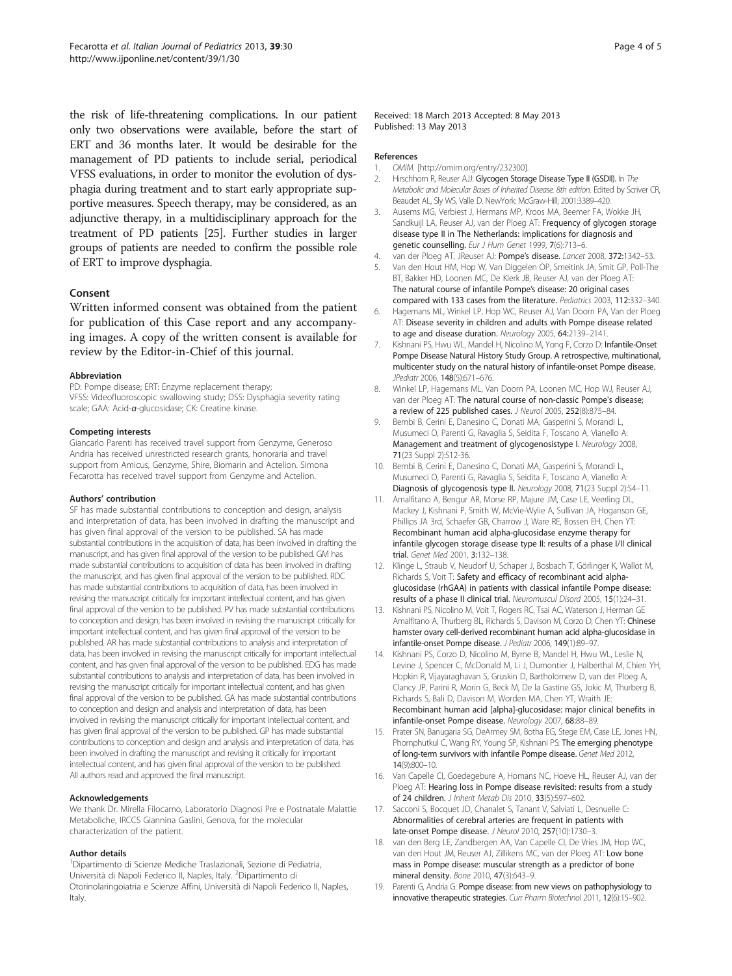<span id="page-3-0"></span>the risk of life-threatening complications. In our patient only two observations were available, before the start of ERT and 36 months later. It would be desirable for the management of PD patients to include serial, periodical VFSS evaluations, in order to monitor the evolution of dysphagia during treatment and to start early appropriate supportive measures. Speech therapy, may be considered, as an adjunctive therapy, in a multidisciplinary approach for the treatment of PD patients [\[25\]](#page-4-0). Further studies in larger groups of patients are needed to confirm the possible role of ERT to improve dysphagia.

# Consent

Written informed consent was obtained from the patient for publication of this Case report and any accompanying images. A copy of the written consent is available for review by the Editor-in-Chief of this journal.

#### Abbreviation

PD: Pompe disease; ERT: Enzyme replacement therapy; VFSS: Videofluoroscopic swallowing study; DSS: Dysphagia severity rating scale; GAA: Acid-α-glucosidase; CK: Creatine kinase.

#### Competing interests

Giancarlo Parenti has received travel support from Genzyme, Generoso Andria has received unrestricted research grants, honoraria and travel support from Amicus, Genzyme, Shire, Biomarin and Actelion. Simona Fecarotta has received travel support from Genzyme and Actelion.

#### Authors' contribution

SF has made substantial contributions to conception and design, analysis and interpretation of data, has been involved in drafting the manuscript and has given final approval of the version to be published. SA has made substantial contributions in the acquisition of data, has been involved in drafting the manuscript, and has given final approval of the version to be published. GM has made substantial contributions to acquisition of data has been involved in drafting the manuscript, and has given final approval of the version to be published. RDC has made substantial contributions to acquisition of data, has been involved in revising the manuscript critically for important intellectual content, and has given final approval of the version to be published. PV has made substantial contributions to conception and design, has been involved in revising the manuscript critically for important intellectual content, and has given final approval of the version to be published. AR has made substantial contributions to analysis and interpretation of data, has been involved in revising the manuscript critically for important intellectual content, and has given final approval of the version to be published. EDG has made substantial contributions to analysis and interpretation of data, has been involved in revising the manuscript critically for important intellectual content, and has given final approval of the version to be published. GA has made substantial contributions to conception and design and analysis and interpretation of data, has been involved in revising the manuscript critically for important intellectual content, and has given final approval of the version to be published. GP has made substantial contributions to conception and design and analysis and interpretation of data, has been involved in drafting the manuscript and revising it critically for important intellectual content, and has given final approval of the version to be published. All authors read and approved the final manuscript.

#### Acknowledgements

We thank Dr. Mirella Filocamo, Laboratorio Diagnosi Pre e Postnatale Malattie Metaboliche, IRCCS Giannina Gaslini, Genova, for the molecular characterization of the patient.

#### Author details

1 Dipartimento di Scienze Mediche Traslazionali, Sezione di Pediatria, Università di Napoli Federico II, Naples, Italy. <sup>2</sup>Dipartimento di Otorinolaringoiatria e Scienze Affini, Università di Napoli Federico II, Naples, Italy.

Received: 18 March 2013 Accepted: 8 May 2013 Published: 13 May 2013

#### References

- 1. OMIM. [<http://omim.org/entry/232300>].
- 2. Hirschhorn R, Reuser AJJ: Glycogen Storage Disease Type II (GSDII). In The Metabolic and Molecular Bases of Inherited Disease. 8th edition. Edited by Scriver CR, Beaudet AL, Sly WS, Valle D. NewYork: McGraw-Hill; 2001:3389–420.
- 3. Ausems MG, Verbiest J, Hermans MP, Kroos MA, Beemer FA, Wokke JH, Sandkuijl LA, Reuser AJ, van der Ploeg AT: Frequency of glycogen storage disease type II in The Netherlands: implications for diagnosis and genetic counselling. Eur J Hum Genet 1999, 7(6):713–6.
- 4. van der Ploeg AT, JReuser AJ: Pompe's disease. Lancet 2008, 372:1342-53.
- 5. Van den Hout HM, Hop W, Van Diggelen OP, Smeitink JA, Smit GP, Poll-The BT, Bakker HD, Loonen MC, De Klerk JB, Reuser AJ, van der Ploeg AT: The natural course of infantile Pompe's disease: 20 original cases compared with 133 cases from the literature. Pediatrics 2003, 112:332–340.
- 6. Hagemans ML, Winkel LP, Hop WC, Reuser AJ, Van Doorn PA, Van der Ploeg AT: Disease severity in children and adults with Pompe disease related to age and disease duration. Neurology 2005, 64:2139–2141.
- 7. Kishnani PS, Hwu WL, Mandel H, Nicolino M, Yong F, Corzo D: Infantile-Onset Pompe Disease Natural History Study Group. A retrospective, multinational, multicenter study on the natural history of infantile-onset Pompe disease. JPediatr 2006, 148(5):671-676.
- 8. Winkel LP, Hagemans ML, Van Doorn PA, Loonen MC, Hop WJ, Reuser AJ, van der Ploeg AT: The natural course of non-classic Pompe's disease; a review of 225 published cases. J Neurol 2005, 252(8):875–84.
- Bembi B, Cerini E, Danesino C, Donati MA, Gasperini S, Morandi L, Musumeci O, Parenti G, Ravaglia S, Seidita F, Toscano A, Vianello A: Management and treatment of glycogenosistype I. Neurology 2008, 71(23 Suppl 2):S12-36.
- 10. Bembi B, Cerini E, Danesino C, Donati MA, Gasperini S, Morandi L, Musumeci O, Parenti G, Ravaglia S, Seidita F, Toscano A, Vianello A: Diagnosis of glycogenosis type II. Neurology 2008, 71(23 Suppl 2):S4-11.
- 11. Amalfitano A, Bengur AR, Morse RP, Majure JM, Case LE, Veerling DL, Mackey J, Kishnani P, Smith W, McVie-Wylie A, Sullivan JA, Hoganson GE, Phillips JA 3rd, Schaefer GB, Charrow J, Ware RE, Bossen EH, Chen YT: Recombinant human acid alpha-glucosidase enzyme therapy for infantile glycogen storage disease type II: results of a phase I/II clinical trial. Genet Med 2001, 3:132–138.
- 12. Klinge L, Straub V, Neudorf U, Schaper J, Bosbach T, Görlinger K, Wallot M, Richards S, Voit T: Safety and efficacy of recombinant acid alphaglucosidase (rhGAA) in patients with classical infantile Pompe disease: results of a phase II clinical trial. Neuromuscul Disord 2005, 15(1):24–31.
- 13. Kishnani PS, Nicolino M, Voit T, Rogers RC, Tsai AC, Waterson J, Herman GE Amalfitano A, Thurberg BL, Richards S, Davison M, Corzo D, Chen YT: Chinese hamster ovary cell-derived recombinant human acid alpha-glucosidase in infantile-onset Pompe disease. J Pediatr 2006, 149(1):89–97.
- 14. Kishnani PS, Corzo D, Nicolino M, Byrne B, Mandel H, Hwu WL, Leslie N, Levine J, Spencer C, McDonald M, Li J, Dumontier J, Halberthal M, Chien YH, Hopkin R, Vijayaraghavan S, Gruskin D, Bartholomew D, van der Ploeg A, Clancy JP, Parini R, Morin G, Beck M, De la Gastine GS, Jokic M, Thurberg B, Richards S, Bali D, Davison M, Worden MA, Chen YT, Wraith JE: Recombinant human acid [alpha]-glucosidase: major clinical benefits in infantile-onset Pompe disease. Neurology 2007, 68:88–89.
- 15. Prater SN, Banugaria SG, DeArmey SM, Botha EG, Stege EM, Case LE, Jones HN, Phornphutkul C, Wang RY, Young SP, Kishnani PS: The emerging phenotype of long-term survivors with infantile Pompe disease. Genet Med 2012, 14(9):800–10.
- 16. Van Capelle CI, Goedegebure A, Homans NC, Hoeve HL, Reuser AJ, van der Ploeg AT: Hearing loss in Pompe disease revisited: results from a study of 24 children. J Inherit Metab Dis 2010, 33(5):597–602.
- 17. Sacconi S, Bocquet JD, Chanalet S, Tanant V, Salviati L, Desnuelle C: Abnormalities of cerebral arteries are frequent in patients with late-onset Pompe disease. J Neurol 2010, 257(10):1730–3.
- 18. van den Berg LE, Zandbergen AA, Van Capelle CI, De Vries JM, Hop WC, van den Hout JM, Reuser AJ, Zillikens MC, van der Ploeg AT: Low bone mass in Pompe disease: muscular strength as a predictor of bone mineral density. Bone 2010, 47(3):643–9.
- 19. Parenti G, Andria G: Pompe disease: from new views on pathophysiology to innovative therapeutic strategies. Curr Pharm Biotechnol 2011, 12(6):15–902.